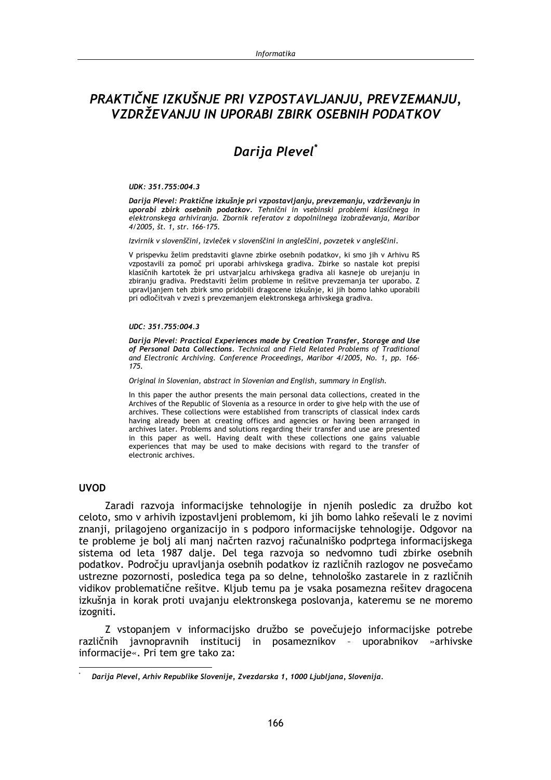## PRAKTIČNE IZKUŠNJE PRI VZPOSTAVLJANJU, PREVZEMANJU, VZDRŽEVANJU IN UPORABI ZBIRK OSEBNIH PODATKOV

# Darija Plevel<sup>\*</sup>

#### UDK: 351.755:004.3

Darija Plevel: Praktične izkušnie pri vzpostavljanju, prevzemanju, vzdrževanju in uporabi zbirk osebnih podatkov. Tehnični in vsebinski problemi klasičnega in elektronskega arhiviranja. Zbornik referatov z dopolnilnega izobraževanja, Maribor  $4/2005$ , št. 1, str. 166-175.

Izvirnik v slovenščini, izvleček v slovenščini in angleščini, povzetek v angleščini.

V prispevku želim predstaviti glavne zbirke osebnih podatkov, ki smo jih v Arhivu RS vzpostavili za pomoč pri uporabi arhivskega gradiva. Zbirke so nastale kot prepisi klasičnih kartotek že pri ustvarjalcu arhivskega gradiva ali kasneje ob urejanju in zbiranju gradiva. Predstaviti želim probleme in rešitve prevzemanja ter uporabo. Z upravljanjem teh zbirk smo pridobili dragocene izkušnje, ki jih bomo lahko uporabili pri odločitvah v zvezi s prevzemanjem elektronskega arhivskega gradiva.

#### $IIDC: 351, 755:004, 3$

Darija Plevel: Practical Experiences made by Creation Transfer, Storage and Use of Personal Data Collections. Technical and Field Related Problems of Traditional and Electronic Archiving. Conference Proceedings, Maribor 4/2005, No. 1, pp. 166-175.

Original in Slovenian, abstract in Slovenian and English, summary in English.

In this paper the author presents the main personal data collections, created in the Archives of the Republic of Slovenia as a resource in order to give help with the use of archives. These collections were established from transcripts of classical index cards having already been at creating offices and agencies or having been arranged in archives later. Problems and solutions regarding their transfer and use are presented in this paper as well. Having dealt with these collections one gains valuable experiences that may be used to make decisions with regard to the transfer of electronic archives.

#### **UVOD**

Zaradi razvoja informacijske tehnologije in njenih posledic za družbo kot celoto, smo v arhivih izpostavljeni problemom, ki jih bomo lahko reševali le z novimi znanji, prilagojeno organizacijo in s podporo informacijske tehnologije. Odgovor na te probleme je bolj ali manj načrten razvoj računalniško podprtega informacijskega sistema od leta 1987 dalje. Del tega razvoja so nedvomno tudi zbirke osebnih podatkov. Področju upravljanja osebnih podatkov iz različnih razlogov ne posvečamo ustrezne pozornosti, posledica tega pa so delne, tehnološko zastarele in z različnih vidikov problematične rešitve. Kljub temu pa je vsaka posamezna rešitev dragocena izkušnja in korak proti uvajanju elektronskega poslovanja, kateremu se ne moremo izogniti.

Z vstopanjem v informacijsko družbo se povečujejo informacijske potrebe različnih javnopravnih institucij in posameznikov - uporabnikov »arhivske informacije«. Pri tem gre tako za:

Darija Plevel, Arhiv Republike Slovenije, Zvezdarska 1, 1000 Ljubljana, Slovenija.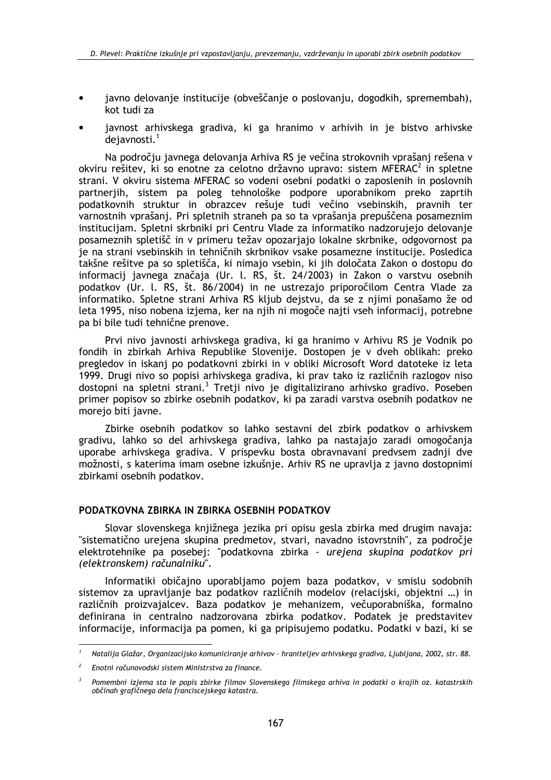- javno delovanie institucije (obveščanie o poslovaniu, dogodkih, spremembah), kot tudi za
- javnost arhivskega gradiva, ki ga hranimo v arhivih in je bistvo arhivske  $deiavnosti.<sup>1</sup>$

Na področju javnega delovanja Arhiva RS je večina strokovnih vprašanj rešena v okviru rešitev, ki so enotne za celotno državno upravo: sistem MFERAC<sup>2</sup> in spletne strani. V okviru sistema MFERAC so vodeni osebni podatki o zaposlenih in poslovnih partnerjih, sistem pa poleg tehnološke podpore uporabnikom preko zaprtih podatkovnih struktur in obrazcev rešuje tudi večino vsebinskih, pravnih ter varnostnih vprašanj. Pri spletnih straneh pa so ta vprašanja prepuščena posameznim institucijam. Spletni skrbniki pri Centru Vlade za informatiko nadzorujejo delovanje posameznih spletišč in v primeru težav opozarjajo lokalne skrbnike, odgovornost pa ie na strani vsebinskih in tehničnih skrbnikov vsake posamezne institucije. Posledica takšne rešitve pa so spletišča, ki nimajo vsebin, ki jih določata Zakon o dostopu do informacij javnega značaja (Ur. l. RS, št. 24/2003) in Zakon o varstvu osebnih podatkov (Ur. l. RS, št. 86/2004) in ne ustrezajo priporočilom Centra Vlade za informatiko. Spletne strani Arhiva RS kljub dejstvu, da se z njimi ponašamo že od leta 1995, niso nobena izjema, ker na njih ni mogoče najti vseh informacij, potrebne pa bi bile tudi tehnične prenove.

Prvi nivo javnosti arhivskega gradiva, ki ga hranimo v Arhivu RS je Vodnik po fondih in zbirkah Arhiva Republike Slovenije. Dostopen je v dveh oblikah: preko pregledov in iskanj po podatkovni zbirki in v obliki Microsoft Word datoteke iz leta 1999. Drugi nivo so popisi arhivskega gradiva, ki prav tako iz različnih razlogov niso dostopni na spletni strani.<sup>3</sup> Tretji nivo je digitalizirano arhivsko gradivo. Poseben primer popisov so zbirke osebnih podatkov, ki pa zaradi varstva osebnih podatkov ne morejo biti javne.

Zbirke osebnih podatkov so lahko sestavni del zbirk podatkov o arhivskem gradivu, lahko so del arhivskega gradiva, lahko pa nastajajo zaradi omogočanja uporabe arhivskega gradiva. V prispevku bosta obravnavani predvsem zadnji dve možnosti, s katerima imam osebne izkušnje. Arhiv RS ne upravlja z javno dostopnimi zbirkami osebnih podatkov.

#### PODATKOVNA ZBIRKA IN ZBIRKA OSEBNIH PODATKOV

Slovar slovenskega knjižnega jezika pri opisu gesla zbirka med drugim navaja: "sistematično urejena skupina predmetov, stvari, navadno istovrstnih", za področje elektrotehnike pa posebej: "podatkovna zbirka - urejena skupina podatkov pri (elektronskem) računalniku".

Informatiki običajno uporabljamo pojem baza podatkov, v smislu sodobnih sistemov za upravljanje baz podatkov različnih modelov (relacijski, objektni ...) in različnih proizvajalcev. Baza podatkov je mehanizem, večuporabniška, formalno definirana in centralno nadzorovana zbirka podatkov. Podatek je predstavitev informacije, informacija pa pomen, ki ga pripisujemo podatku. Podatki v bazi, ki se

Natalija Glažar, Organizacijsko komuniciranje arhivov - hraniteljev arhivskega gradiva, Ljubljana, 2002, str. 88.

Enotni računovodski sistem Ministrstva za finance.

Pomembni izjema sta le popis zbirke filmov Slovenskega filmskega arhiva in podatki o krajih oz. katastrskih občinah grafičnega dela franciscejskega katastra.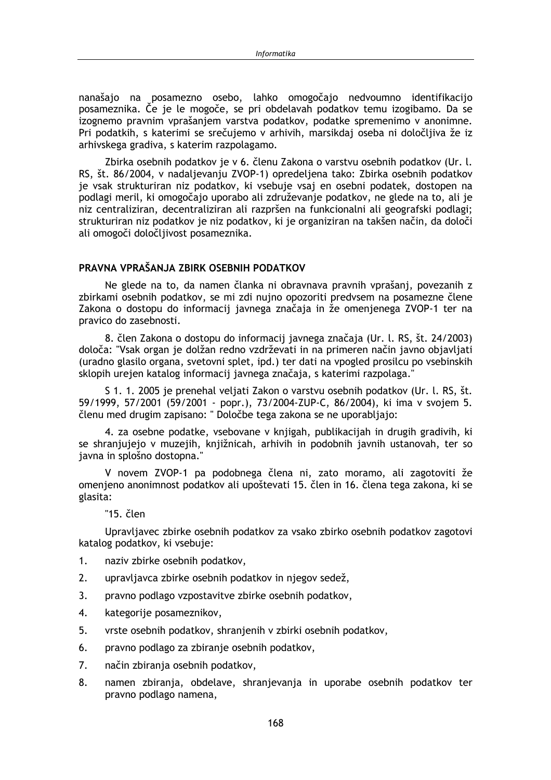nanašajo na posamezno osebo, lahko omogočajo nedvoumno identifikacijo posameznika. Če ie le mogoče, se pri obdelavah podatkov temu izogibamo. Da se izognemo pravnim vprašanjem varstva podatkov, podatke spremenimo v anonimne. Pri podatkih, s katerimi se srečujemo v arhivih, marsikdaj oseba ni določljiva že iz arhivskega gradiva, s katerim razpolagamo.

Zbirka osebnih podatkov je v 6. členu Zakona o varstvu osebnih podatkov (Ur. l. RS, št. 86/2004, v nadaljevanju ZVOP-1) opredeljena tako: Zbirka osebnih podatkov je vsak strukturiran niz podatkov, ki vsebuje vsaj en osebni podatek, dostopen na podlagi meril, ki omogočajo uporabo ali združevanje podatkov, ne glede na to, ali je niz centraliziran, decentraliziran ali razpršen na funkcionalni ali geografski podlagi; strukturiran niz podatkov je niz podatkov, ki je organiziran na takšen način, da določi ali omogoči določljivost posameznika.

#### PRAVNA VPRAŠANJA ZBIRK OSEBNIH PODATKOV

Ne glede na to, da namen članka ni obravnava pravnih vprašanj, povezanih z zbirkami osebnih podatkov, se mi zdi nujno opozoriti predvsem na posamezne člene Zakona o dostopu do informacij javnega značaja in že omenjenega ZVOP-1 ter na pravico do zasebnosti.

8. člen Zakona o dostopu do informacij javnega značaja (Ur. l. RS, št. 24/2003) določa: "Vsak organ je dolžan redno vzdrževati in na primeren način javno objavljati (uradno glasilo organa, svetovni splet, ipd.) ter dati na vpogled prosilcu po vsebinskih sklopih urejen katalog informacij javnega značaja, s katerimi razpolaga."

S 1, 1, 2005 je prenehal veljati Zakon o varstvu osebnih podatkov (Ur. l. RS, št. 59/1999, 57/2001 (59/2001 - popr.), 73/2004-ZUP-C, 86/2004), ki ima v svojem 5. členu med drugim zapisano: "Določbe tega zakona se ne uporabliajo:

4. za osebne podatke, vsebovane v knjigah, publikacijah in drugih gradivih, ki se shranjujejo v muzejih, knjižnicah, arhivih in podobnih javnih ustanovah, ter so javna in splošno dostopna."

V novem ZVOP-1 pa podobnega člena ni, zato moramo, ali zagotoviti že omenjeno anonimnost podatkov ali upoštevati 15. člen in 16. člena tega zakona, ki se glasita:

"15. člen

Upravljavec zbirke osebnih podatkov za vsako zbirko osebnih podatkov zagotovi katalog podatkov, ki vsebuje:

- $1.$ naziv zbirke osebnih podatkov,
- $2.$ upravljavca zbirke osebnih podatkov in njegov sedež,
- $\overline{3}$ . pravno podlago vzpostavitve zbirke osebnih podatkov,
- 4. kategorije posameznikov,
- 5. vrste osebnih podatkov, shranjenih v zbirki osebnih podatkov,
- 6. pravno podlago za zbiranje osebnih podatkov,
- $\overline{7}$ . način zbiranja osebnih podatkov,
- 8. namen zbiranja, obdelave, shranjevanja in uporabe osebnih podatkov ter pravno podlago namena,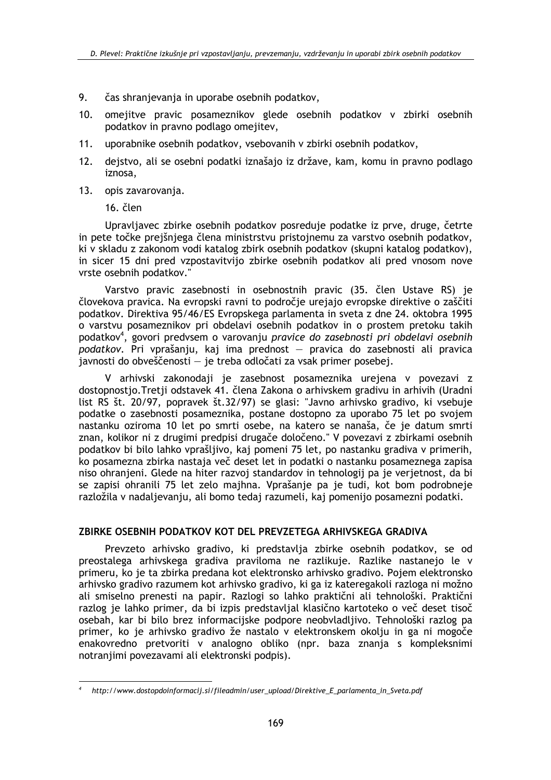- 9. čas shranjevanja in uporabe osebnih podatkov.
- $10.$ omejitve pravic posameznikov glede osebnih podatkov v zbirki osebnih podatkov in pravno podlago omejitev,
- uporabnike osebnih podatkov, vsebovanih v zbirki osebnih podatkov,  $11.$
- $12.$ dejstvo, ali se osebni podatki iznašajo iz države, kam, komu in pravno podlago iznosa.
- 13. opis zavarovanja.

16. člen

Upravljavec zbirke osebnih podatkov posreduje podatke iz prve, druge, četrte in pete točke prejšnjega člena ministrstvu pristojnemu za varstvo osebnih podatkov, ki v skladu z zakonom vodi katalog zbirk osebnih podatkov (skupni katalog podatkov), in sicer 15 dni pred vzpostavitvijo zbirke osebnih podatkov ali pred vnosom nove vrste osebnih podatkov."

Varstvo pravic zasebnosti in osebnostnih pravic (35. člen Ustave RS) je človekova pravica. Na evropski ravni to področje urejajo evropske direktive o zaščiti podatkov. Direktiva 95/46/ES Evropskega parlamenta in sveta z dne 24. oktobra 1995 o varstvu posameznikov pri obdelavi osebnih podatkov in o prostem pretoku takih podatkov<sup>4</sup>, govori predvsem o varovanju pravice do zasebnosti pri obdelavi osebnih podatkov. Pri vprašanju, kaj ima prednost - pravica do zasebnosti ali pravica javnosti do obveščenosti – je treba odločati za vsak primer posebej.

V arhivski zakonodaji je zasebnost posameznika urejena v povezavi z dostopnostjo. Tretji odstavek 41. člena Zakona o arhivskem gradivu in arhivih (Uradni list RS št. 20/97, popravek št. 32/97) se glasi: "Javno arhivsko gradivo, ki vsebuje podatke o zasebnosti posameznika, postane dostopno za uporabo 75 let po svojem nastanku oziroma 10 let po smrti osebe, na katero se nanaša, če je datum smrti znan, kolikor ni z drugimi predpisi drugače določeno." V povezavi z zbirkami osebnih podatkov bi bilo lahko vprašljivo, kaj pomeni 75 let, po nastanku gradiva v primerih, ko posamezna zbirka nastaja več deset let in podatki o nastanku posameznega zapisa niso ohranieni. Glede na hiter razvoi standardov in tehnologij pa je verjetnost, da bi se zapisi ohranili 75 let zelo majhna. Vprašanje pa je tudi, kot bom podrobneje razložila v nadaljevanju, ali bomo tedaj razumeli, kaj pomenijo posamezni podatki.

#### ZBIRKE OSEBNIH PODATKOV KOT DEL PREVZETEGA ARHIVSKEGA GRADIVA

Prevzeto arhivsko gradivo, ki predstavlja zbirke osebnih podatkov, se od preostalega arhivskega gradiva praviloma ne razlikuje. Razlike nastanejo le v primeru, ko je ta zbirka predana kot elektronsko arhivsko gradivo. Pojem elektronsko arhivsko gradivo razumem kot arhivsko gradivo, ki ga iz kateregakoli razloga ni možno ali smiselno prenesti na papir. Razlogi so lahko praktični ali tehnološki. Praktični razlog je lahko primer, da bi izpis predstavljal klasično kartoteko o več deset tisoč osebah, kar bi bilo brez informacijske podpore neobvladljivo. Tehnološki razlog pa primer, ko je arhivsko gradivo že nastalo v elektronskem okolju in ga ni mogoče enakovredno pretvoriti v analogno obliko (npr. baza znanja s kompleksnimi notranjimi povezavami ali elektronski podpis).

http://www.dostopdoinformacij.si/fileadmin/user\_upload/Direktive\_E\_parlamenta\_in\_Sveta.pdf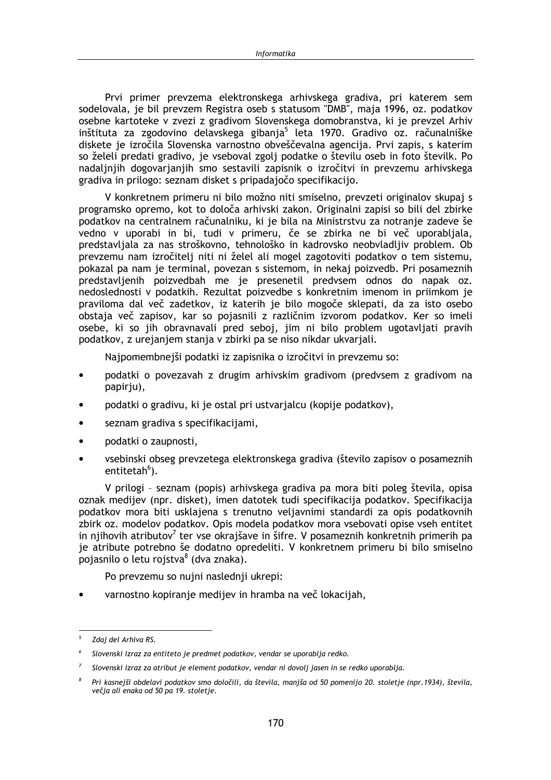Prvi primer prevzema elektronskega arhivskega gradiva, pri katerem sem sodelovala, je bil prevzem Registra oseb s statusom "DMB", maja 1996, oz. podatkov osebne kartoteke v zvezi z gradivom Slovenskega domobranstva, ki je prevzel Arhiv inštituta za zgodovino delavskega gibanja<sup>5</sup> leta 1970. Gradivo oz. računalniške diskete je izročila Slovenska varnostno obveščevalna agencija. Prvi zapis, s katerim so želeli predati gradivo, je vseboval zgolj podatke o številu oseb in foto številk. Po nadaljnjih dogovarjanjih smo sestavili zapisnik o izročitvi in prevzemu arhivskega gradiva in prilogo: seznam disket s pripadajočo specifikacijo.

V konkretnem primeru ni bilo možno niti smiselno, prevzeti originalov skupaj s programsko opremo, kot to določa arhivski zakon. Originalni zapisi so bili del zbirke podatkov na centralnem računalniku, ki je bila na Ministrstvu za notranje zadeve še vedno v uporabi in bi, tudi v primeru, če se zbirka ne bi več uporabljala, predstavljala za nas stroškovno, tehnološko in kadrovsko neobvladljiv problem. Ob prevzemu nam izročitelj niti ni želel ali mogel zagotoviti podatkov o tem sistemu, pokazal pa nam je terminal, povezan s sistemom, in nekaj poizvedb. Pri posameznih predstavljenih poizvedbah me je presenetil predvsem odnos do napak oz. nedoslednosti v podatkih. Rezultat poizvedbe s konkretnim imenom in priimkom je praviloma dal več zadetkov, iz katerih je bilo mogoče sklepati, da za isto osebo obstaja več zapisov, kar so pojasnili z različnim izvorom podatkov. Ker so imeli osebe, ki so jih obravnavali pred seboj, jim ni bilo problem ugotavljati pravih podatkov, z urejanjem stanja v zbirki pa se niso nikdar ukvarjali.

Najpomembnejši podatki iz zapisnika o izročitvi in prevzemu so:

- podatki o povezavah z drugim arhivskim gradivom (predvsem z gradivom na papirju),
- podatki o gradivu, ki je ostal pri ustvarjalcu (kopije podatkov),
- seznam gradiva s specifikacijami,  $\bullet$
- podatki o zaupnosti,  $\bullet$
- vsebinski obseg prevzetega elektronskega gradiva (število zapisov o posameznih entitetah<sup>6</sup>).

V prilogi - seznam (popis) arhivskega gradiva pa mora biti poleg števila, opisa oznak medijev (npr. disket), imen datotek tudi specifikacija podatkov. Specifikacija podatkov mora biti usklajena s trenutno veljavnimi standardi za opis podatkovnih zbirk oz. modelov podatkov. Opis modela podatkov mora vsebovati opise vseh entitet in nijhovih atributov<sup>7</sup> ter vse okrajšave in šifre. V posameznih konkretnih primerih pa je atribute potrebno še dodatno opredeliti. V konkretnem primeru bi bilo smiselno pojasnilo o letu rojstva<sup>8</sup> (dva znaka).

Po prevzemu so nujni naslednij ukrepi:

varnostno kopiranje medijev in hramba na več lokacijah,

Zdaj del Arhiva RS.

Slovenski izraz za entiteto je predmet podatkov, vendar se uporablja redko.

Slovenski izraz za atribut je element podatkov, vendar ni dovolj jasen in se redko uporablja.

 $\overline{R}$ Pri kasnejši obdelavi podatkov smo določili, da števila, manjša od 50 pomenijo 20. stoletje (npr. 1934), števila, večja ali enaka od 50 pa 19. stoletje.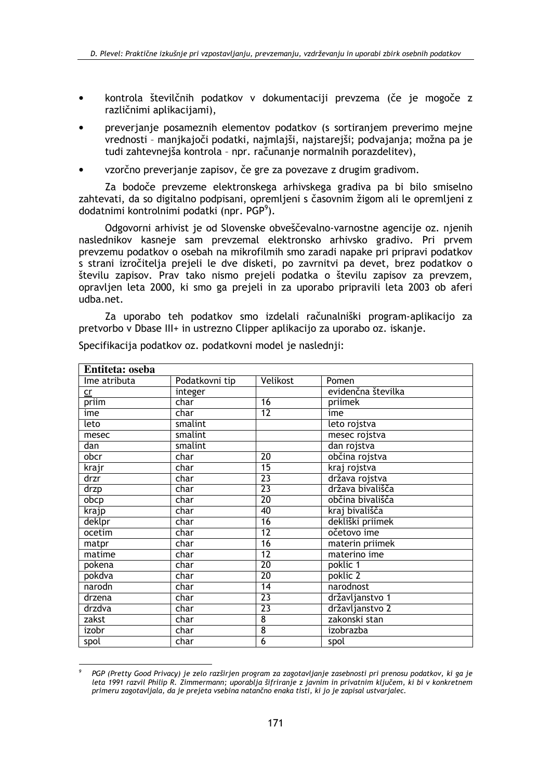- kontrola številčnih podatkov v dokumentaciji prevzema (če je mogoče z različnimi aplikacijami).
- preverianie posameznih elementov podatkov (s sortiraniem preverimo meine vrednosti - manikajoči podatki, najmlajši, najstarejši; podvajanja; možna pa je tudi zahtevnejša kontrola - npr. računanje normalnih porazdelitev).
- vzorčno preverianie zapisov, če gre za povezave z drugim gradivom.

Za bodoče prevzeme elektronskega arhivskega gradiva pa bi bilo smiselno zahtevati, da so digitalno podpisani, opremljeni s časovnim žigom ali le opremljeni z dodatnimi kontrolnimi podatki (npr. PGP<sup>9</sup>).

Odgovorni arhivist je od Slovenske obveščevalno-varnostne agencije oz. njenih naslednikov kasneje sam prevzemal elektronsko arhivsko gradivo. Pri prvem prevzemu podatkov o osebah na mikrofilmih smo zaradi napake pri pripravi podatkov s strani izročitelja prejeli le dve disketi, po zavrnitvi pa devet, brez podatkov o številu zapisov. Prav tako nismo prejeli podatka o številu zapisov za prevzem, opravljen leta 2000, ki smo ga prejeli in za uporabo pripravili leta 2003 ob aferi udba.net.

Za uporabo teh podatkov smo izdelali računalniški program-aplikacijo za pretvorbo v Dbase III+ in ustrezno Clipper aplikacijo za uporabo oz. iskanje.

| Entiteta: oseba |                |                 |                    |  |
|-----------------|----------------|-----------------|--------------------|--|
| Ime atributa    | Podatkovni tip | Velikost        | Pomen              |  |
| cr              | integer        |                 | evidenčna številka |  |
| priim           | char           | 16              | priimek            |  |
| ime             | char           | 12              | ime                |  |
| leto            | smalint        |                 | leto rojstva       |  |
| mesec           | smalint        |                 | mesec rojstva      |  |
| dan             | smalint        |                 | dan rojstva        |  |
| obcr            | char           | $\overline{20}$ | občina rojstva     |  |
| krajr           | char           | $\overline{15}$ | kraj rojstva       |  |
| drzr            | char           | $\overline{23}$ | država rojstva     |  |
| drzp            | char           | $\overline{23}$ | država bivališča   |  |
| obcp            | char           | 20              | občina bivališča   |  |
| krajp           | char           | 40              | kraj bivališča     |  |
| deklpr          | char           | $\overline{16}$ | dekliški priimek   |  |
| ocetim          | char           | $\overline{12}$ | očetovo ime        |  |
| matpr           | char           | 16              | materin priimek    |  |
| matime          | char           | $\overline{12}$ | materino ime       |  |
| pokena          | char           | 20              | poklic 1           |  |
| pokdva          | char           | $\overline{20}$ | poklic 2           |  |
| narodn          | char           | $\overline{14}$ | narodnost          |  |
| drzena          | char           | $\overline{23}$ | državljanstvo 1    |  |
| drzdva          | char           | $\overline{23}$ | državljanstvo 2    |  |
| zakst           | char           | $\overline{8}$  | zakonski stan      |  |
| izobr           | char           | $\overline{8}$  | izobrazba          |  |
| spol            | char           | $\overline{6}$  | spol               |  |

Specifikacija podatkov oz. podatkovni model je naslednij:

PGP (Pretty Good Privacy) je zelo razširjen program za zagotavljanje zasebnosti pri prenosu podatkov, ki ga je leta 1991 razvil Philip R. Zimmermann; uporablja šifriranje z javnim in privatnim ključem, ki bi v konkretnem primeru zagotavljala, da je prejeta vsebina natančno enaka tisti, ki jo je zapisal ustvarjalec.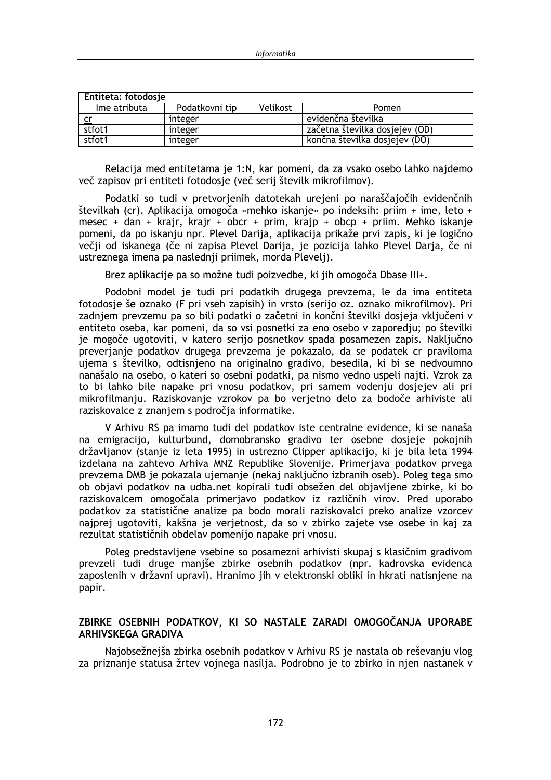| Entiteta: fotodosje |                |          |                                |  |  |
|---------------------|----------------|----------|--------------------------------|--|--|
| lme atributa        | Podatkovni tip | Velikost | <b>Pomen</b>                   |  |  |
|                     | integer        |          | evidenčna številka             |  |  |
| stfot1              | integer        |          | začetna številka dosjejev (OD) |  |  |
| stfot1              | integer        |          | končna številka dosjejev (DO)  |  |  |

Relacija med entitetama je 1:N, kar pomeni, da za vsako osebo lahko najdemo več zapisov pri entiteti fotodosje (več serij številk mikrofilmov).

Podatki so tudi v pretvorjenih datotekah urejeni po naraščajočih evidenčnih številkah (cr). Aplikacija omogoča »mehko iskanje« po indeksih: priim + ime, leto + mesec + dan + krajr, krajr + obcr + prim, krajp + obcp + priim. Mehko iskanje pomeni, da po iskanju npr. Plevel Darija, aplikacija prikaže prvi zapis, ki je logično večji od iskanega (če ni zapisa Plevel Darija, je pozicija lahko Plevel Darja, če ni ustreznega imena pa naslednji priimek, morda Plevelj).

Brez aplikacije pa so možne tudi poizvedbe, ki jih omogoča Dbase III+.

Podobni model je tudi pri podatkih drugega prevzema, le da ima entiteta fotodosje še oznako (F pri vseh zapisih) in vrsto (serijo oz. oznako mikrofilmov). Pri zadnjem prevzemu pa so bili podatki o začetni in končni številki dosjeja vključeni v entiteto oseba, kar pomeni, da so vsi posnetki za eno osebo v zaporedju; po številki je mogoče ugotoviti, v katero serijo posnetkov spada posamezen zapis. Naključno preverianie podatkov drugega prevzema je pokazalo, da se podatek cr praviloma ujema s številko, odtisnjeno na originalno gradivo, besedila, ki bi se nedvoumno nanašalo na osebo, o kateri so osebni podatki, pa nismo vedno uspeli najti. Vzrok za to bi lahko bile napake pri vnosu podatkov, pri samem vodenju dosjejev ali pri mikrofilmanju. Raziskovanje vzrokov pa bo verjetno delo za bodoče arhiviste ali raziskovalce z znanjem s področja informatike.

V Arhivu RS pa imamo tudi del podatkov iste centralne evidence, ki se nanaša na emigracijo, kulturbund, domobransko gradivo ter osebne dosjeje pokojnih državlianov (stanie iz leta 1995) in ustrezno Clipper aplikacijo, ki je bila leta 1994 izdelana na zahtevo Arhiva MNZ Republike Slovenije. Primeriava podatkov prvega prevzema DMB je pokazala ujemanje (nekaj naključno izbranih oseb). Poleg tega smo ob objavi podatkov na udba.net kopirali tudi obsežen del objavljene zbirke, ki bo raziskovalcem omogočala primerjavo podatkov iz različnih virov. Pred uporabo podatkov za statistične analize pa bodo morali raziskovalci preko analize vzorcev najprej ugotoviti, kakšna je verjetnost, da so v zbirko zajete vse osebe in kaj za rezultat statističnih obdelav pomenijo napake pri vnosu.

Poleg predstavljene vsebine so posamezni arhivisti skupaj s klasičnim gradivom prevzeli tudi druge manjše zbirke osebnih podatkov (npr. kadrovska evidenca zaposlenih v državni upravi). Hranimo jih v elektronski obliki in hkrati natisnjene na papir.

#### ZBIRKE OSEBNIH PODATKOV, KI SO NASTALE ZARADI OMOGOČANJA UPORABE **ARHIVSKEGA GRADIVA**

Najobsežnejša zbirka osebnih podatkov v Arhivu RS je nastala ob reševanju vlog za priznanje statusa žrtev vojnega nasilja. Podrobno je to zbirko in njen nastanek v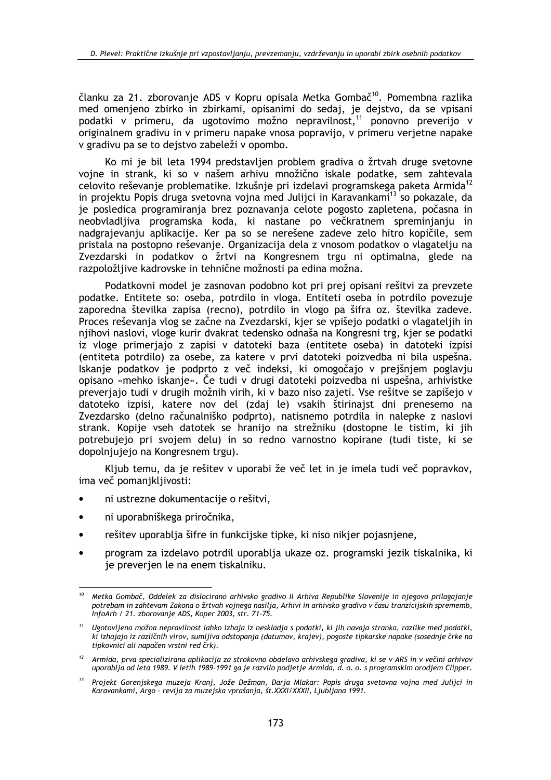članku za 21. zborovanie ADS v Kopru opisala Metka Gombač<sup>10</sup>. Pomembna razlika med omenieno zbirko in zbirkami, opisanimi do sedaj, je dejstvo, da se vpisani podatki v primeru, da ugotovimo možno nepravilnost,<sup>11</sup> ponovno preverijo v originalnem gradivu in v primeru napake vnosa popravijo, v primeru verjetne napake v gradivu pa se to dejstvo zabeleži v opombo.

Ko mi je bil leta 1994 predstavljen problem gradiva o žrtvah druge svetovne vojne in strank, ki so v našem arhivu množično iskale podatke, sem zahtevala celovito reševanje problematike. Izkušnje pri izdelavi programskega paketa Armida<sup>12</sup> in projektu Popis druga svetovna vojna med Julijci in Karavankami<sup>13</sup> so pokazale, da je posledica programiranja brez poznavanja celote pogosto zapletena, počasna in neobvladljiva programska koda, ki nastane po večkratnem spreminjanju in nadgrajevanju aplikacije. Ker pa so se nerešene zadeve zelo hitro kopičile, sem pristala na postopno reševanje. Organizacija dela z vnosom podatkov o vlagatelju na Zvezdarski in podatkov o žrtvi na Kongresnem trgu ni optimalna, glede na razpoložljive kadrovske in tehnične možnosti pa edina možna.

Podatkovni model je zasnovan podobno kot pri prej opisani rešitvi za prevzete podatke. Entitete so: oseba, potrdilo in vloga. Entiteti oseba in potrdilo povezuje zaporedna številka zapisa (recno), potrdilo in vlogo pa šifra oz. številka zadeve. Proces reševanja vlog se začne na Zvezdarski, kjer se vpišejo podatki o vlagateljih in njihovi naslovi, vloge kurir dvakrat tedensko odnaša na Kongresni trg, kjer se podatki iz vloge primeriajo z zapisi v datoteki baza (entitete oseba) in datoteki izpisi (entiteta potrdilo) za osebe, za katere v prvi datoteki poizvedba ni bila uspešna. Iskanje podatkov je podprto z več indeksi, ki omogočajo v prejšnjem poglavju opisano »mehko iskanje«. Če tudi v drugi datoteki poizvedba ni uspešna, arhivistke preveriajo tudi v drugih možnih virih, ki v bazo niso zajeti. Vse rešitve se zapišejo v datoteko izpisi, katere nov del (zdaj le) vsakih štirinajst dni prenesemo na Zvezdarsko (delno računalniško podprto), natisnemo potrdila in nalepke z naslovi strank. Kopije vseh datotek se hranijo na strežniku (dostopne le tistim, ki jih potrebujejo pri svojem delu) in so redno varnostno kopirane (tudi tiste, ki se dopolniuieio na Kongresnem trgu).

Kljub temu, da je rešitev v uporabi že več let in je imela tudi več popravkov, ima več pomanjkljivosti:

- ni ustrezne dokumentacije o rešitvi.  $\bullet$
- ni uporabniškega priročnika,
- rešitev uporablja šifre in funkcijske tipke, ki niso nikjer pojasnjene,  $\bullet$
- program za izdelavo potrdil uporablja ukaze oz. programski jezik tiskalnika, ki je preverien le na enem tiskalniku.

<sup>&</sup>lt;sup>10</sup> Metka Gombač, Oddelek za dislocirano arhivsko gradivo II Arhiva Republike Slovenije in njegovo prilagajanje potrebam in zahtevam Zakona o žrtvah vojnega nasilja, Arhivi in arhivsko gradivo v času tranzicijskih sprememb, InfoArh / 21. zborovanje ADS, Koper 2003, str. 71-75.

<sup>&</sup>lt;sup>11</sup> Ugotovljena možna nepravilnost lahko izhaja iz neskladja s podatki, ki jih navaja stranka, razlike med podatki, ki izhajajo iz različnih virov, sumljiva odstopanja (datumov, krajev), pogoste tipkarske napake (sosednje črke na tipkovnici ali napačen vrstni red črk).

<sup>&</sup>lt;sup>12</sup> Armida, prva specializirana aplikacija za strokovno obdelavo arhivskega gradiva, ki se v ARS in v večini arhivov uporablja od leta 1989. V letih 1989-1991 ga je razvilo podjetje Armida, d. o. o. s programskim orodjem Clipper.

<sup>&</sup>lt;sup>13</sup> Projekt Gorenjskega muzeja Kranj, Jože Dežman, Darja Mlakar: Popis druga svetovna vojna med Julijci in Karavankami, Argo - revija za muzejska vprašanja, št. XXXI/XXXII, Ljubljana 1991.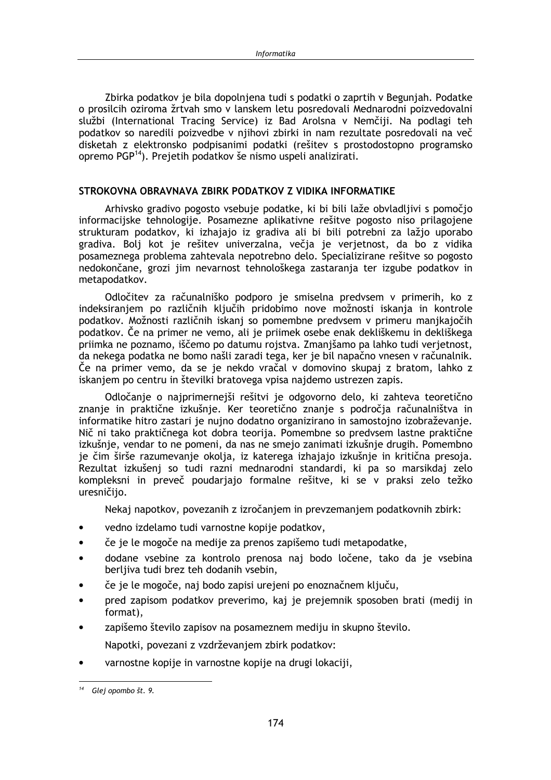Zbirka podatkov je bila dopolniena tudi s podatki o zaprtih v Beguniah. Podatke o prosilcih oziroma žrtvah smo v lanskem letu posredovali Mednarodni poizvedovalni službi (International Tracing Service) iz Bad Arolsna v Nemčiji. Na podlagi teh podatkov so naredili poizvedbe v njihovi zbirki in nam rezultate posredovali na več disketah z elektronsko podpisanimi podatki (rešitev s prostodostopno programsko opremo PGP<sup>14</sup>). Prejetih podatkov še nismo uspeli analizirati.

#### STROKOVNA OBRAVNAVA ZBIRK PODATKOV Z VIDIKA INFORMATIKE

Arhivsko gradivo pogosto vsebuje podatke, ki bi bili laže obvladljivi s pomočjo informacijske tehnologije. Posamezne aplikativne rešitve pogosto niso prilagojene strukturam podatkov, ki izhajajo iz gradiva ali bi bili potrebni za lažjo uporabo gradiva. Bolj kot je rešitev univerzalna, večja je verjetnost, da bo z vidika posameznega problema zahtevala nepotrebno delo. Specializirane rešitve so pogosto nedokončane, grozi jim nevarnost tehnološkega zastaranja ter izgube podatkov in metapodatkov.

Odločitev za računalniško podporo je smiselna predvsem v primerih, ko z indeksiranjem po različnih ključih pridobimo nove možnosti iskanja in kontrole podatkov. Možnosti različnih iskanj so pomembne predvsem v primeru manjkajočih podatkov. Če na primer ne vemo, ali je priimek osebe enak dekliškemu in dekliškega priimka ne poznamo, iščemo po datumu rojstva. Zmanjšamo pa lahko tudi verjetnost, da nekega podatka ne bomo našli zaradi tega, ker je bil napačno vnesen v računalnik. Če na primer vemo, da se je nekdo vračal v domovino skupaj z bratom, lahko z iskanjem po centru in številki bratovega vpisa najdemo ustrezen zapis.

Odločanje o najprimernejši rešitvi je odgovorno delo, ki zahteva teoretično znanje in praktične izkušnje. Ker teoretično znanje s področja računalništva in informatike hitro zastari je nujno dodatno organizirano in samostojno izobraževanje. Nič ni tako praktičnega kot dobra teorija. Pomembne so predvsem lastne praktične izkušnie, vendar to ne pomeni, da nas ne smejo zanimati izkušnie drugih. Pomembno je čim širše razumevanje okolja, iz katerega izhajajo izkušnje in kritična presoja. Rezultat izkušenj so tudi razni mednarodni standardi, ki pa so marsikdaj zelo kompleksni in preveč poudarjajo formalne rešitve, ki se v praksi zelo težko uresničijo.

Nekaj napotkov, povezanih z izročaniem in prevzemaniem podatkovnih zbirk:

- vedno izdelamo tudi varnostne kopije podatkov,  $\bullet$
- če je le mogoče na medije za prenos zapišemo tudi metapodatke,
- dodane vsebine za kontrolo prenosa naj bodo ločene, tako da je vsebina  $\bullet$ berljiva tudi brez teh dodanih vsebin,
- če je le mogoče, naj bodo zapisi urejeni po enoznačnem ključu,
- pred zapisom podatkov preverimo, kaj je prejemnik sposoben brati (medij in format),
- zapišemo število zapisov na posameznem mediju in skupno število.

Napotki, povezani z vzdrževanjem zbirk podatkov:

varnostne kopije in varnostne kopije na drugi lokaciji,

<sup>&</sup>lt;sup>14</sup> Glej opombo št. 9.